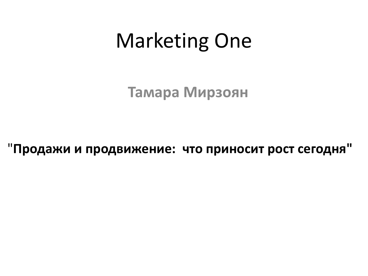# Marketing One

**Тамара Мирзоян**

"**Продажи и продвижение: что приносит рост сегодня"**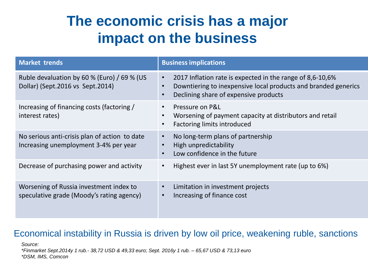### **The economic crisis has a major impact on the business**

| <b>Market trends</b>                                                                   | <b>Business implications</b>                                                                                                                                                                                |
|----------------------------------------------------------------------------------------|-------------------------------------------------------------------------------------------------------------------------------------------------------------------------------------------------------------|
| Ruble devaluation by 60 % (Euro) / 69 % (US<br>Dollar) (Sept.2016 vs Sept.2014)        | 2017 Inflation rate is expected in the range of 8,6-10,6%<br>$\bullet$<br>Downtiering to inexpensive local products and branded generics<br>$\bullet$<br>Declining share of expensive products<br>$\bullet$ |
| Increasing of financing costs (factoring /<br>interest rates)                          | Pressure on P&L<br>$\bullet$<br>Worsening of payment capacity at distributors and retail<br>$\bullet$<br>Factoring limits introduced<br>$\bullet$                                                           |
| No serious anti-crisis plan of action to date<br>Increasing unemployment 3-4% per year | No long-term plans of partnership<br>$\bullet$<br>High unpredictability<br>$\bullet$<br>Low confidence in the future<br>$\bullet$                                                                           |
| Decrease of purchasing power and activity                                              | Highest ever in last 5Y unemployment rate (up to 6%)<br>$\bullet$                                                                                                                                           |
| Worsening of Russia investment index to<br>speculative grade (Moody's rating agency)   | Limitation in investment projects<br>$\bullet$<br>Increasing of finance cost<br>$\bullet$                                                                                                                   |

### Economical instability in Russia is driven by low oil price, weakening ruble, sanctions

*Source: \*Finmarket Sept.2014y 1 rub.- 38,72 USD & 49,33 euro; Sept. 2016y 1 rub. – 65,67 USD & 73,13 euro \*DSM, IMS, Comcon*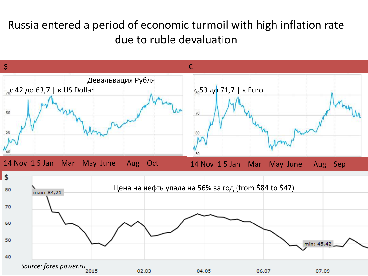### Russia entered a period of economic turmoil with high inflation rate due to ruble devaluation

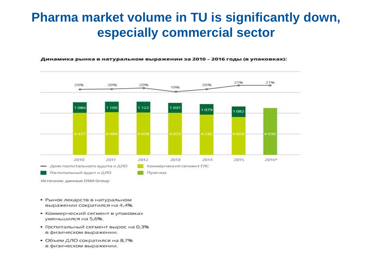### Pharma market volume in TU is significantly down, especially commercial sector



#### Динамика рынка в натуральном выражении за 2010 - 2016 годы (в упаковках):

- Рынок лекарств в натуральном выражении сократился на 4,4%.
- Коммерческий сегмент в упаковках уменьшился на 5,6%.
- Госпитальный сегмент вырос на 0,3% в физическом выражении.
- Объем ДЛО сократился на 8,7% в физическом выражении.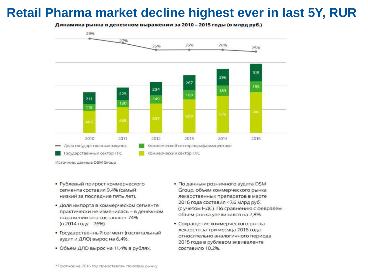### Retail Pharma market decline highest ever in last 5Y, RUR

Динамика рынка в денежном выражении за 2010 - 2015 годы (в млрд руб.)



- Рублевый прирост коммерческого сегмента составил 9,4% (самый низкий за последние пять лет).
- Доля импорта в коммерческом сегменте практически не изменилась - в денежном выражении она составляет 74% (в 2014 году - 76%).
- Государственный сегмент (госпитальный аудит и ДЛО) вырос на 6,4%.
- Объем ДЛО вырос на 11,4% в рублях.
- По данным розничного аудита DSM Group, объем коммерческого рынка лекарственных препаратов в марте 2016 года составил 47,6 млрд руб. (с учетом НДС). По сравнению с февралем объем рынка увеличился на 2,8%.
- Сокращение коммерческого рынка лекарств за три месяца 2016 года относительно аналогичного периода 2015 года в рублевом эквиваленте составило 10,2%.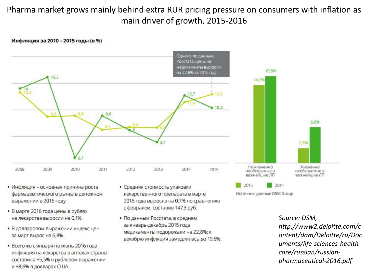### Pharma market grows mainly behind extra RUR pricing pressure on consumers with inflation as main driver of growth, 2015-2016

#### Инфляция за 2010 - 2015 годы (в %)



- Инфляция основная причина роста фармацевтического рынка в денежном выражении в 2016 году.
- В марте 2016 года цены в рублях на лекарства выросли на 0,1%.
- В долларовом выражении индекс цен за март вырос на 6,8%.
- Всего же с января по июнь 2016 года инфляция на лекарства в аптеках страны составила +5,5% в рублевом выражении и +8,6% в долларах США.
- Средняя стоимость упаковки лекарственного препарата в марте 2016 года выросла на 0,7% по сравнению с февралем, составив 147,3 руб.
- По данным Росстата, в среднем за январь-декабрь 2015 года медикаменты подорожали на 22,8%; к декабрю инфляция замедлилась до 19,6%.

Source: DSM. http://www2.deloitte.com/c ontent/dam/Deloitte/ru/Doc uments/life-sciences-healthcare/russian/russianpharmaceutical-2016.pdf

Источник: данные DSM Group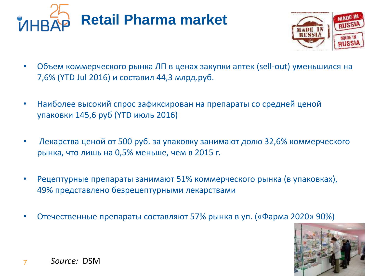



- Объем коммерческого рынка ЛП в ценах закупки аптек (sell-out) уменьшился на 7,6% (YTD Jul 2016) и составил 44,3 млрд.руб.
- Наиболее высокий спрос зафиксирован на препараты со средней ценой упаковки 145,6 руб (YTD июль 2016)
- Лекарства ценой от 500 руб. за упаковку занимают долю 32,6% коммерческого рынка, что лишь на 0,5% меньше, чем в 2015 г.
- Рецептурные препараты занимают 51% коммерческого рынка (в упаковках), 49% представлено безрецептурными лекарствами
- Отечественные препараты составляют 57% рынка в уп. («Фарма 2020» 90%)

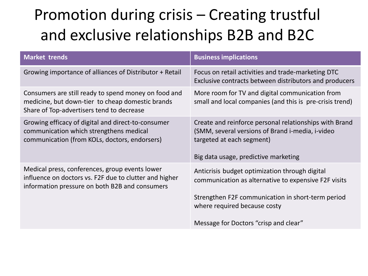## Promotion during crisis – Creating trustful and exclusive relationships B2B and B2C

| <b>Market trends</b>                                                                                                                                       | <b>Business implications</b>                                                                                                                                                                                                         |
|------------------------------------------------------------------------------------------------------------------------------------------------------------|--------------------------------------------------------------------------------------------------------------------------------------------------------------------------------------------------------------------------------------|
| Growing importance of alliances of Distributor + Retail                                                                                                    | Focus on retail activities and trade-marketing DTC<br>Exclusive contracts between distributors and producers                                                                                                                         |
| Consumers are still ready to spend money on food and<br>medicine, but down-tier to cheap domestic brands<br>Share of Top-advertisers tend to decrease      | More room for TV and digital communication from<br>small and local companies (and this is pre-crisis trend)                                                                                                                          |
| Growing efficacy of digital and direct-to-consumer<br>communication which strengthens medical<br>communication (from KOLs, doctors, endorsers)             | Create and reinforce personal relationships with Brand<br>(SMM, several versions of Brand i-media, i-video<br>targeted at each segment)<br>Big data usage, predictive marketing                                                      |
| Medical press, conferences, group events lower<br>influence on doctors vs. F2F due to clutter and higher<br>information pressure on both B2B and consumers | Anticrisis budget optimization through digital<br>communication as alternative to expensive F2F visits<br>Strengthen F2F communication in short-term period<br>where required because costy<br>Message for Doctors "crisp and clear" |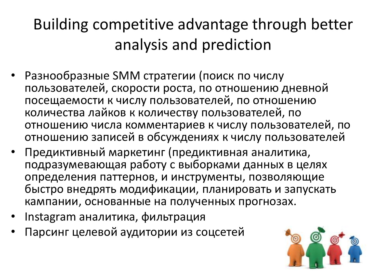# Building competitive advantage through better analysis and prediction

- Разнообразные SMM стратегии (поиск по числу пользователей, скорости роста, по отношению дневной посещаемости к числу пользователей, по отношению количества лайков к количеству пользователей, по отношению числа комментариев к числу пользователей, по отношению записей в обсуждениях к числу пользователей
- Предиктивный маркетинг (предиктивная аналитика, подразумевающая работу с выборками данных в целях определения паттернов, и инструменты, позволяющие быстро внедрять модификации, планировать и запускать кампании, основанные на полученных прогнозах.
- Instagram аналитика, фильтрация
- Парсинг целевой аудитории из соцсетей

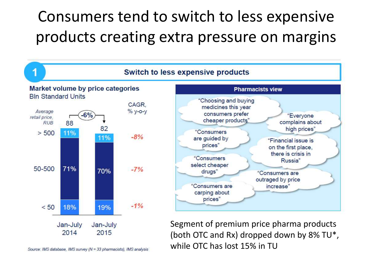## Consumers tend to switch to less expensive products creating extra pressure on margins



while OTC has lost 15% in TU

Source: IMS database, IMS survey (N = 33 pharmacists), IMS analysis